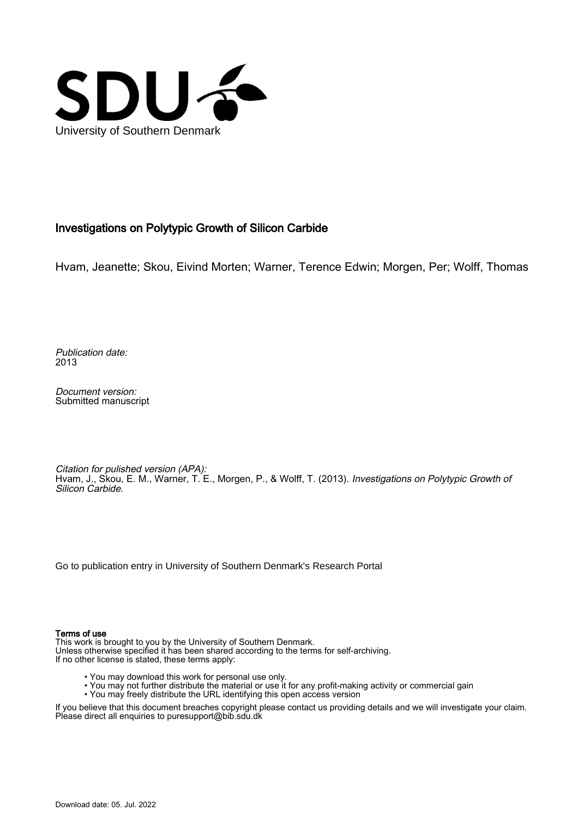

## Investigations on Polytypic Growth of Silicon Carbide

Hvam, Jeanette; Skou, Eivind Morten; Warner, Terence Edwin; Morgen, Per; Wolff, Thomas

Publication date: 2013

Document version: Submitted manuscript

Citation for pulished version (APA): Hvam, J., Skou, E. M., Warner, T. E., Morgen, P., & Wolff, T. (2013). Investigations on Polytypic Growth of Silicon Carbide.

[Go to publication entry in University of Southern Denmark's Research Portal](https://portal.findresearcher.sdu.dk/en/publications/1437844d-a76e-4770-ac98-7799f035fa65)

## Terms of use

This work is brought to you by the University of Southern Denmark. Unless otherwise specified it has been shared according to the terms for self-archiving. If no other license is stated, these terms apply:

- You may download this work for personal use only.
- You may not further distribute the material or use it for any profit-making activity or commercial gain
- You may freely distribute the URL identifying this open access version

If you believe that this document breaches copyright please contact us providing details and we will investigate your claim. Please direct all enquiries to puresupport@bib.sdu.dk